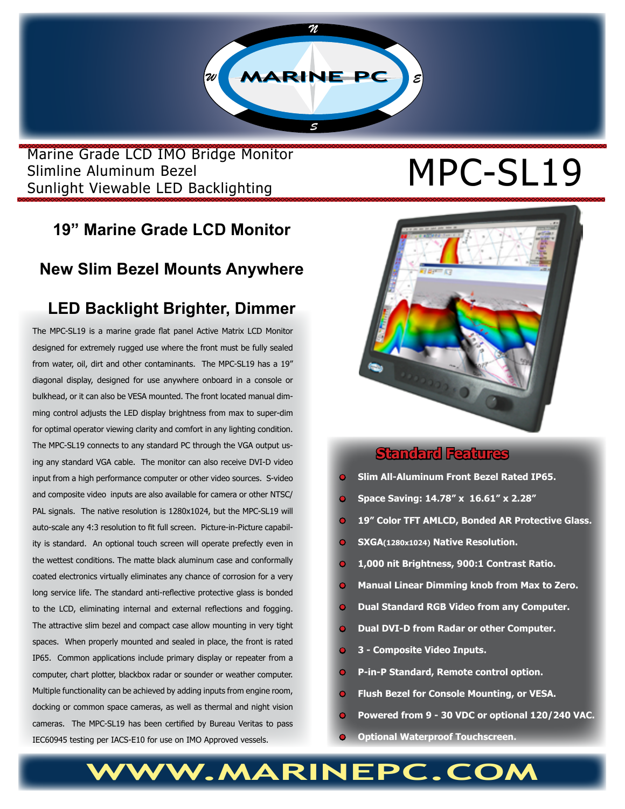

Marine Grade LCD IMO Bridge Monitor<br>Slimline Aluminum Bezel<br>Curlisht Viscophe LED Besklighting Slimline Aluminum Bezel Sunlight Viewable LED Backlighting

# **19" Marine Grade LCD Monitor**

### **New Slim Bezel Mounts Anywhere**

## **LED Backlight Brighter, Dimmer**

The MPC-SL19 is a marine grade flat panel Active Matrix LCD Monitor designed for extremely rugged use where the front must be fully sealed from water, oil, dirt and other contaminants. The MPC-SL19 has a 19" diagonal display, designed for use anywhere onboard in a console or bulkhead, or it can also be VESA mounted. The front located manual dimming control adjusts the LED display brightness from max to super-dim for optimal operator viewing clarity and comfort in any lighting condition. The MPC-SL19 connects to any standard PC through the VGA output using any standard VGA cable. The monitor can also receive DVI-D video input from a high performance computer or other video sources. S-video and composite video inputs are also available for camera or other NTSC/ PAL signals. The native resolution is 1280x1024, but the MPC-SL19 will auto-scale any 4:3 resolution to fit full screen. Picture-in-Picture capability is standard. An optional touch screen will operate prefectly even in the wettest conditions. The matte black aluminum case and conformally coated electronics virtually eliminates any chance of corrosion for a very long service life. The standard anti-reflective protective glass is bonded to the LCD, eliminating internal and external reflections and fogging. The attractive slim bezel and compact case allow mounting in very tight spaces. When properly mounted and sealed in place, the front is rated IP65. Common applications include primary display or repeater from a computer, chart plotter, blackbox radar or sounder or weather computer. Multiple functionality can be achieved by adding inputs from engine room, docking or common space cameras, as well as thermal and night vision cameras. The MPC-SL19 has been certified by Bureau Veritas to pass IEC60945 testing per IACS-E10 for use on IMO Approved vessels.



#### **Standard Features**

- **• Slim All-Aluminum Front Bezel Rated IP65.**
- **• Space Saving: 14.78" x 16.61" x 2.28"**
- **• 19" Color TFT AMLCD, Bonded AR Protective Glass.**
- **• SXGA(1280x1024) Native Resolution.**
- **1,000 nit Brightness, 900:1 Contrast Ratio.**
- **Manual Linear Dimming knob from Max to Zero.**
- **• Dual Standard RGB Video from any Computer.**
- **• Dual DVI-D from Radar or other Computer.**
- **• 3 Composite Video Inputs.**
- **• P-in-P Standard, Remote control option.**
- **• Flush Bezel for Console Mounting, or VESA.**
- **• Powered from 9 30 VDC or optional 120/240 VAC.**
- **• Optional Waterproof Touchscreen.**

# WW.MARINEPC.CO